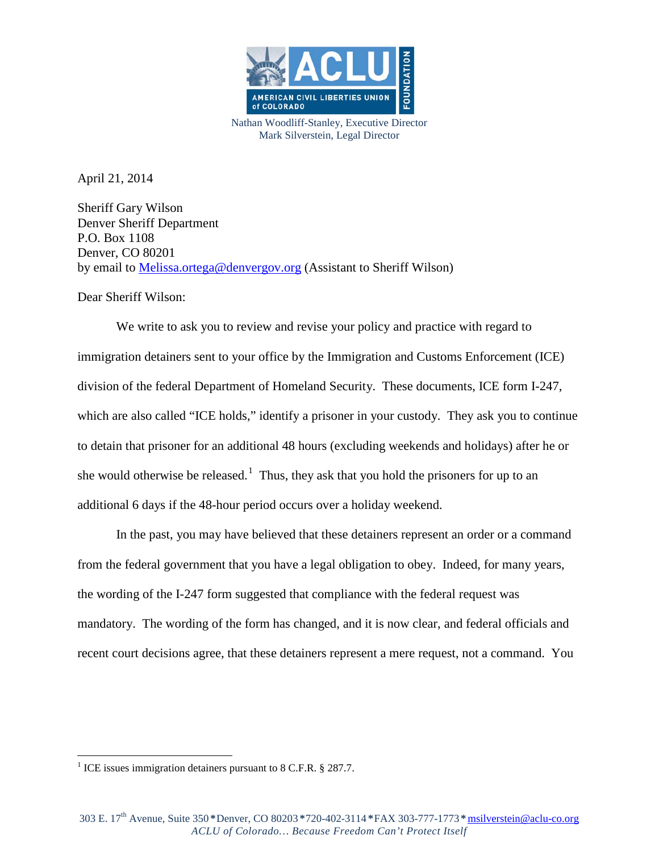

Nathan Woodliff-Stanley, Executive Director Mark Silverstein, Legal Director

April 21, 2014

Sheriff Gary Wilson Denver Sheriff Department P.O. Box 1108 Denver, CO 80201 by email to [Melissa.ortega@denvergov.org](mailto:Melissa.ortega@denvergov.org) (Assistant to Sheriff Wilson)

Dear Sheriff Wilson:

We write to ask you to review and revise your policy and practice with regard to immigration detainers sent to your office by the Immigration and Customs Enforcement (ICE) division of the federal Department of Homeland Security. These documents, ICE form I-247, which are also called "ICE holds," identify a prisoner in your custody. They ask you to continue to detain that prisoner for an additional 48 hours (excluding weekends and holidays) after he or she would otherwise be released.<sup>[1](#page-0-0)</sup> Thus, they ask that you hold the prisoners for up to an additional 6 days if the 48-hour period occurs over a holiday weekend.

In the past, you may have believed that these detainers represent an order or a command from the federal government that you have a legal obligation to obey. Indeed, for many years, the wording of the I-247 form suggested that compliance with the federal request was mandatory. The wording of the form has changed, and it is now clear, and federal officials and recent court decisions agree, that these detainers represent a mere request, not a command. You

<span id="page-0-0"></span><sup>&</sup>lt;sup>1</sup> ICE issues immigration detainers pursuant to 8 C.F.R.  $\S$  287.7.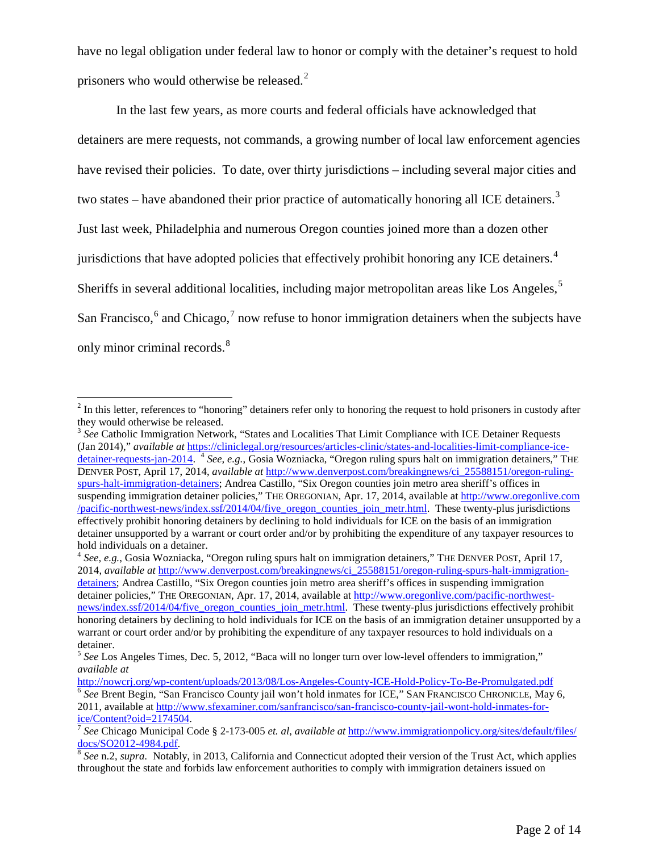have no legal obligation under federal law to honor or comply with the detainer's request to hold prisoners who would otherwise be released. $2$ 

In the last few years, as more courts and federal officials have acknowledged that detainers are mere requests, not commands, a growing number of local law enforcement agencies have revised their policies. To date, over thirty jurisdictions – including several major cities and two states – have abandoned their prior practice of automatically honoring all ICE detainers.<sup>[3](#page-1-1)</sup> Just last week, Philadelphia and numerous Oregon counties joined more than a dozen other jurisdictions that have adopted policies that effectively prohibit honoring any ICE detainers.<sup>[4](#page-1-2)</sup> Sheriffs in several additional localities, including major metropolitan areas like Los Angeles,<sup>[5](#page-1-3)</sup> San Francisco,  $6$  and Chicago,  $7$  now refuse to honor immigration detainers when the subjects have only minor criminal records.<sup>[8](#page-1-6)</sup>

 $2 \text{ In this letter, references to "honoring" detainers refer only to honoring the request to hold prisoners in custody after }$ they would otherwise be released.

<span id="page-1-1"></span><span id="page-1-0"></span><sup>&</sup>lt;sup>3</sup> See Catholic Immigration Network, "States and Localities That Limit Compliance with ICE Detainer Requests (Jan 2014)," *available at* [https://cliniclegal.org/resources/articles-clinic/states-and-localities-limit-compliance-ice](https://cliniclegal.org/resources/articles-clinic/states-and-localities-limit-compliance-ice-detainer-requests-jan-2014)[detainer-requests-jan-2014.](https://cliniclegal.org/resources/articles-clinic/states-and-localities-limit-compliance-ice-detainer-requests-jan-2014) <sup>4</sup> See, e.g., Gosia Wozniacka, "Oregon ruling spurs halt on immigration detainers," THE DENVER POST, April 17, 2014, *available at* [http://www.denverpost.com/breakingnews/ci\\_25588151/oregon-ruling](http://www.denverpost.com/breakingnews/ci_25588151/oregon-ruling-spurs-halt-immigration-detainers)[spurs-halt-immigration-detainers;](http://www.denverpost.com/breakingnews/ci_25588151/oregon-ruling-spurs-halt-immigration-detainers) Andrea Castillo, "Six Oregon counties join metro area sheriff's offices in suspending immigration detainer policies," THE OREGONIAN, Apr. 17, 2014, available at [http://www.oregonlive.com](http://www.oregonlive.com/pacific-northwest-news/index.ssf/2014/04/five_oregon_counties_join_metr.html) [/pacific-northwest-news/index.ssf/2014/04/five\\_oregon\\_counties\\_join\\_metr.html.](http://www.oregonlive.com/pacific-northwest-news/index.ssf/2014/04/five_oregon_counties_join_metr.html) These twenty-plus jurisdictions effectively prohibit honoring detainers by declining to hold individuals for ICE on the basis of an immigration detainer unsupported by a warrant or court order and/or by prohibiting the expenditure of any taxpayer resources to hold individuals on a detainer.

<span id="page-1-2"></span><sup>4</sup> *See, e.g.*, Gosia Wozniacka, "Oregon ruling spurs halt on immigration detainers," THE DENVER POST, April 17, 2014, *available at* [http://www.denverpost.com/breakingnews/ci\\_25588151/oregon-ruling-spurs-halt-immigration](http://www.denverpost.com/breakingnews/ci_25588151/oregon-ruling-spurs-halt-immigration-detainers)[detainers;](http://www.denverpost.com/breakingnews/ci_25588151/oregon-ruling-spurs-halt-immigration-detainers) Andrea Castillo, "Six Oregon counties join metro area sheriff's offices in suspending immigration detainer policies," THE OREGONIAN, Apr. 17, 2014, available at [http://www.oregonlive.com/pacific-northwest](http://www.oregonlive.com/pacific-northwest-news/index.ssf/2014/04/five_oregon_counties_join_metr.html)[news/index.ssf/2014/04/five\\_oregon\\_counties\\_join\\_metr.html.](http://www.oregonlive.com/pacific-northwest-news/index.ssf/2014/04/five_oregon_counties_join_metr.html) These twenty-plus jurisdictions effectively prohibit honoring detainers by declining to hold individuals for ICE on the basis of an immigration detainer unsupported by a warrant or court order and/or by prohibiting the expenditure of any taxpayer resources to hold individuals on a detainer.

<span id="page-1-4"></span><span id="page-1-3"></span><sup>5</sup> *See* Los Angeles Times, Dec. 5, 2012, "Baca will no longer turn over low-level offenders to immigration," *available at*<br>http://nowcrj.org/wp-content/uploads/2013/08/Los-Angeles-County-ICE-Hold-Policy-To-Be-Promulgated.pdf

<sup>&</sup>lt;sup>6</sup> See Brent Begin, "San Francisco County jail won't hold inmates for ICE," SAN FRANCISCO CHRONICLE, May 6, 2011, available at [http://www.sfexaminer.com/sanfrancisco/san-francisco-county-jail-wont-hold-inmates-for-](http://www.sfexaminer.com/sanfrancisco/san-francisco-county-jail-wont-hold-inmates-for-ice/Content?oid=2174504)

<span id="page-1-6"></span><span id="page-1-5"></span>[ice/Content?oid=2174504.](http://www.sfexaminer.com/sanfrancisco/san-francisco-county-jail-wont-hold-inmates-for-ice/Content?oid=2174504) <sup>7</sup> *See* Chicago Municipal Code § 2-173-005 *et. al*, *available at* [http://www.immigrationpolicy.org/sites/default/files/](http://www.immigrationpolicy.org/sites/default/files/docs/SO2012-4984.pdf)

<sup>&</sup>lt;sup>8</sup> See n.2, *supra*. Notably, in 2013, California and Connecticut adopted their version of the Trust Act, which applies throughout the state and forbids law enforcement authorities to comply with immigration detainers issued on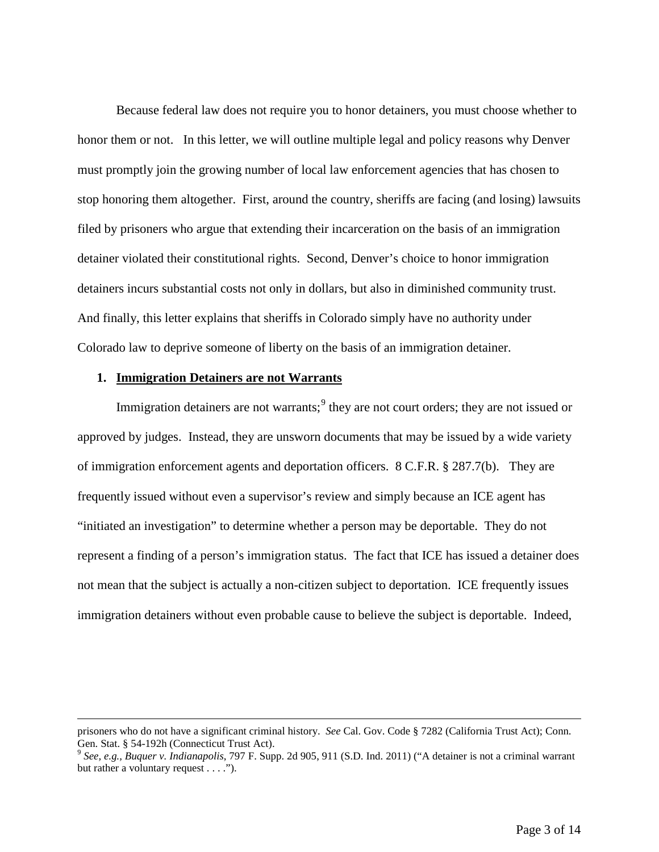Because federal law does not require you to honor detainers, you must choose whether to honor them or not. In this letter, we will outline multiple legal and policy reasons why Denver must promptly join the growing number of local law enforcement agencies that has chosen to stop honoring them altogether. First, around the country, sheriffs are facing (and losing) lawsuits filed by prisoners who argue that extending their incarceration on the basis of an immigration detainer violated their constitutional rights. Second, Denver's choice to honor immigration detainers incurs substantial costs not only in dollars, but also in diminished community trust. And finally, this letter explains that sheriffs in Colorado simply have no authority under Colorado law to deprive someone of liberty on the basis of an immigration detainer.

#### **1. Immigration Detainers are not Warrants**

<span id="page-2-0"></span> $\overline{a}$ 

Immigration detainers are not warrants;<sup>[9](#page-2-0)</sup> they are not court orders; they are not issued or approved by judges. Instead, they are unsworn documents that may be issued by a wide variety of immigration enforcement agents and deportation officers. 8 C.F.R. § 287.7(b). They are frequently issued without even a supervisor's review and simply because an ICE agent has "initiated an investigation" to determine whether a person may be deportable. They do not represent a finding of a person's immigration status. The fact that ICE has issued a detainer does not mean that the subject is actually a non-citizen subject to deportation. ICE frequently issues immigration detainers without even probable cause to believe the subject is deportable. Indeed,

<span id="page-2-1"></span>prisoners who do not have a significant criminal history. *See* Cal. Gov. Code § 7282 (California Trust Act); Conn. Gen. Stat. § 54-192h (Connecticut Trust Act).<br><sup>9</sup> *See, e.g., Buquer v. Indianapolis,* 797 F. Supp. 2d 905, 911 (S.D. Ind. 2011) ("A detainer is not a criminal warrant

but rather a voluntary request . . . .").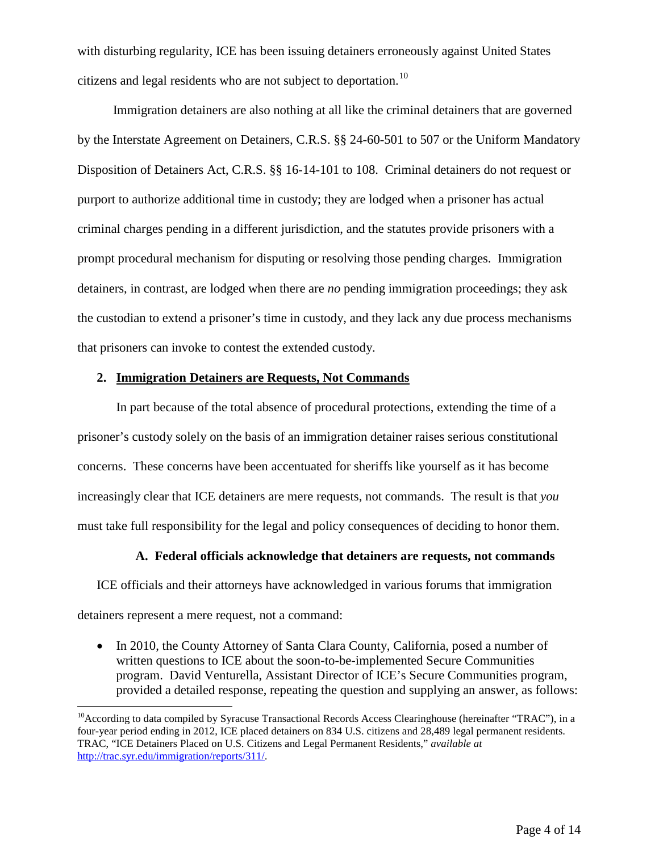with disturbing regularity, ICE has been issuing detainers erroneously against United States citizens and legal residents who are not subject to deportation.<sup>[10](#page-2-1)</sup>

 Immigration detainers are also nothing at all like the criminal detainers that are governed by the Interstate Agreement on Detainers, C.R.S. §§ 24-60-501 to 507 or the Uniform Mandatory Disposition of Detainers Act, C.R.S. §§ 16-14-101 to 108. Criminal detainers do not request or purport to authorize additional time in custody; they are lodged when a prisoner has actual criminal charges pending in a different jurisdiction, and the statutes provide prisoners with a prompt procedural mechanism for disputing or resolving those pending charges. Immigration detainers, in contrast, are lodged when there are *no* pending immigration proceedings; they ask the custodian to extend a prisoner's time in custody, and they lack any due process mechanisms that prisoners can invoke to contest the extended custody.

#### **2. Immigration Detainers are Requests, Not Commands**

In part because of the total absence of procedural protections, extending the time of a prisoner's custody solely on the basis of an immigration detainer raises serious constitutional concerns. These concerns have been accentuated for sheriffs like yourself as it has become increasingly clear that ICE detainers are mere requests, not commands. The result is that *you* must take full responsibility for the legal and policy consequences of deciding to honor them.

### **A. Federal officials acknowledge that detainers are requests, not commands**

ICE officials and their attorneys have acknowledged in various forums that immigration detainers represent a mere request, not a command:

• In 2010, the County Attorney of Santa Clara County, California, posed a number of written questions to ICE about the soon-to-be-implemented Secure Communities program. David Venturella, Assistant Director of ICE's Secure Communities program, provided a detailed response, repeating the question and supplying an answer, as follows:

<sup>&</sup>lt;sup>10</sup>According to data compiled by Syracuse Transactional Records Access Clearinghouse (hereinafter "TRAC"), in a four-year period ending in 2012, ICE placed detainers on 834 U.S. citizens and 28,489 legal permanent residents. TRAC, "ICE Detainers Placed on U.S. Citizens and Legal Permanent Residents," *available at* [http://trac.syr.edu/immigration/reports/311/.](http://trac.syr.edu/immigration/reports/311/)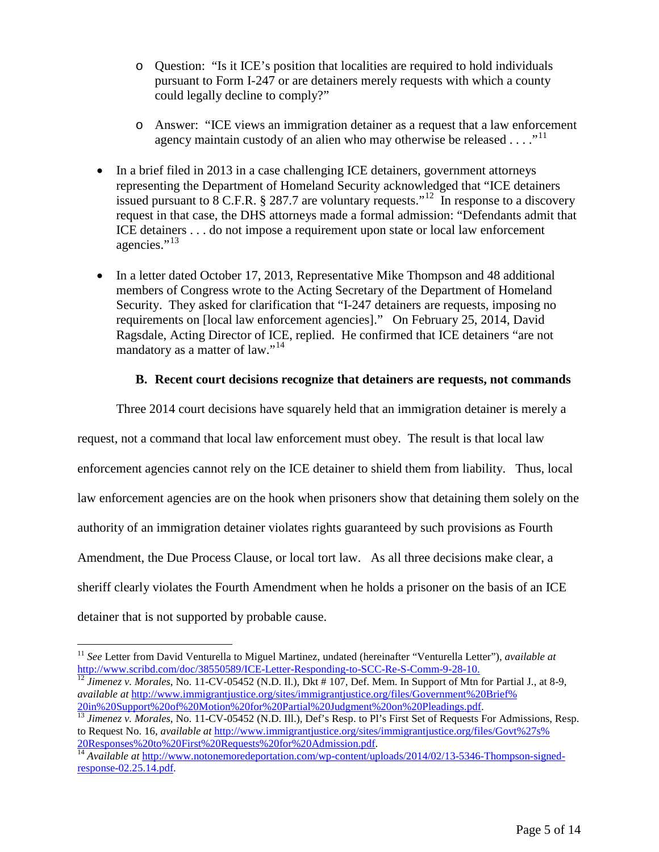- o Question: "Is it ICE's position that localities are required to hold individuals pursuant to Form I-247 or are detainers merely requests with which a county could legally decline to comply?"
- o Answer: "ICE views an immigration detainer as a request that a law enforcement agency maintain custody of an alien who may otherwise be released  $\dots$ ."<sup>[11](#page-4-0)</sup>
- In a brief filed in 2013 in a case challenging ICE detainers, government attorneys representing the Department of Homeland Security acknowledged that "ICE detainers issued pursuant to  $\overline{8}$  C.F.R.  $\overline{8}$  287.7 are voluntary requests."<sup>[12](#page-4-1)</sup> In response to a discovery request in that case, the DHS attorneys made a formal admission: "Defendants admit that ICE detainers . . . do not impose a requirement upon state or local law enforcement agencies."<sup>[13](#page-4-2)</sup>
- In a letter dated October 17, 2013, Representative Mike Thompson and 48 additional members of Congress wrote to the Acting Secretary of the Department of Homeland Security. They asked for clarification that "I-247 detainers are requests, imposing no requirements on [local law enforcement agencies]." On February 25, 2014, David Ragsdale, Acting Director of ICE, replied. He confirmed that ICE detainers "are not mandatory as a matter of law."<sup>[14](#page-4-3)</sup>

# **B. Recent court decisions recognize that detainers are requests, not commands**

Three 2014 court decisions have squarely held that an immigration detainer is merely a

request, not a command that local law enforcement must obey. The result is that local law enforcement agencies cannot rely on the ICE detainer to shield them from liability. Thus, local law enforcement agencies are on the hook when prisoners show that detaining them solely on the authority of an immigration detainer violates rights guaranteed by such provisions as Fourth Amendment, the Due Process Clause, or local tort law. As all three decisions make clear, a sheriff clearly violates the Fourth Amendment when he holds a prisoner on the basis of an ICE detainer that is not supported by probable cause.

<span id="page-4-0"></span><sup>&</sup>lt;sup>11</sup> *See* Letter from David Venturella to Miguel Martinez, undated (hereinafter "Venturella Letter"), *available at* http://www.scribd.com/doc/38550589/ICE-Letter-Responding-to-SCC-Re-S-Comm-9-28-10.

<span id="page-4-1"></span><sup>&</sup>lt;sup>[12](http://www.scribd.com/doc/38550589/ICE-Letter-Responding-to-SCC-Re-S-Comm-9-28-10)</sup> Jimenez v. Morales, No. 11-CV-05452 (N.D. II.), Dkt # 107, Def. Mem. In Support of Mtn for Partial J., at 8-9, *available at* [http://www.immigrantjustice.org/sites/immigrantjustice.org/files/Government%20Brief%](http://www.immigrantjustice.org/sites/immigrantjustice.org/files/Government%20Brief%20in%20Support%20of%20Motion%20for%20Partial%20Judgment%20on%20Pleadings.pdf)

<span id="page-4-2"></span>[<sup>20</sup>in%20Support%20of%20Motion%20for%20Partial%20Judgment%20on%20Pleadings.pdf.](http://www.immigrantjustice.org/sites/immigrantjustice.org/files/Government%20Brief%20in%20Support%20of%20Motion%20for%20Partial%20Judgment%20on%20Pleadings.pdf) <sup>13</sup> *Jimenez v. Morales*, No. 11-CV-05452 (N.D. Ill.), Def's Resp. to Pl's First Set of Requests For Admissions, Resp. to Request No. 16, *available at* [http://www.immigrantjustice.org/sites/immigrantjustice.org/files/Govt%27s%](http://www.immigrantjustice.org/sites/immigrantjustice.org/files/Govt%27s%20Responses%20to%20First%20Requests%20for%20Admission.pdf) [20Responses%20to%20First%20Requests%20for%20Admission.pdf.](http://www.immigrantjustice.org/sites/immigrantjustice.org/files/Govt%27s%20Responses%20to%20First%20Requests%20for%20Admission.pdf) <sup>14</sup> *Available at* [http://www.notonemoredeportation.com/wp-content/uploads/2014/02/13-5346-Thompson-signed-](http://www.notonemoredeportation.com/wp-content/uploads/2014/02/13-5346-Thompson-signed-response-02.25.14.pdf)

<span id="page-4-3"></span>[response-02.25.14.pdf.](http://www.notonemoredeportation.com/wp-content/uploads/2014/02/13-5346-Thompson-signed-response-02.25.14.pdf)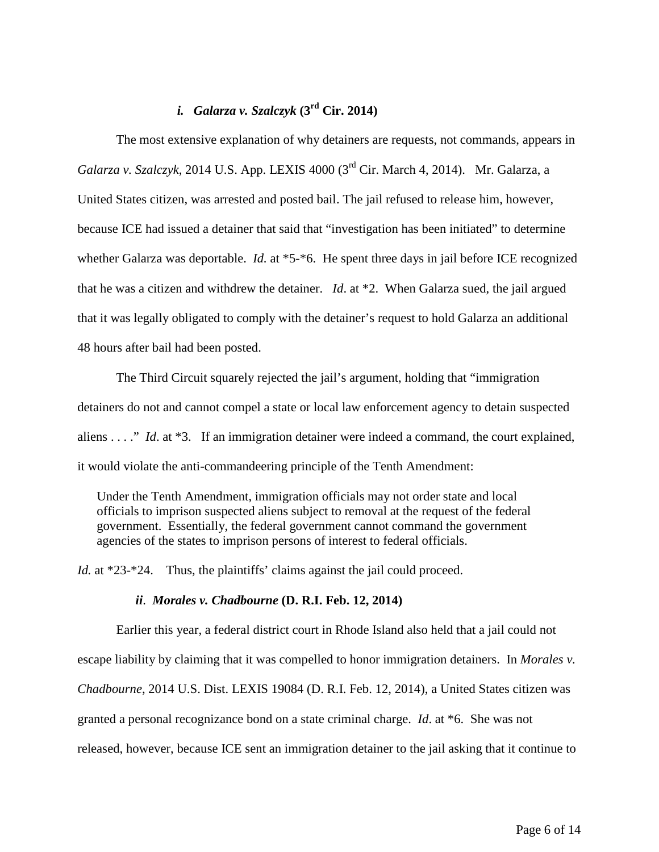# *i. Galarza v. Szalczyk* **(3rd Cir. 2014)**

The most extensive explanation of why detainers are requests, not commands, appears in *Galarza v. Szalczyk*, 2014 U.S. App. LEXIS 4000 (3rd Cir. March 4, 2014). Mr. Galarza, a United States citizen, was arrested and posted bail. The jail refused to release him, however, because ICE had issued a detainer that said that "investigation has been initiated" to determine whether Galarza was deportable. *Id.* at \*5-\*6. He spent three days in jail before ICE recognized that he was a citizen and withdrew the detainer. *Id*. at \*2. When Galarza sued, the jail argued that it was legally obligated to comply with the detainer's request to hold Galarza an additional 48 hours after bail had been posted.

The Third Circuit squarely rejected the jail's argument, holding that "immigration detainers do not and cannot compel a state or local law enforcement agency to detain suspected aliens . . . ." *Id*. at \*3. If an immigration detainer were indeed a command, the court explained, it would violate the anti-commandeering principle of the Tenth Amendment:

Under the Tenth Amendment, immigration officials may not order state and local officials to imprison suspected aliens subject to removal at the request of the federal government. Essentially, the federal government cannot command the government agencies of the states to imprison persons of interest to federal officials.

*Id.* at \*23-\*24. Thus, the plaintiffs' claims against the jail could proceed.

#### *ii*. *Morales v. Chadbourne* **(D. R.I. Feb. 12, 2014)**

Earlier this year, a federal district court in Rhode Island also held that a jail could not escape liability by claiming that it was compelled to honor immigration detainers. In *Morales v. Chadbourne*, 2014 U.S. Dist. LEXIS 19084 (D. R.I. Feb. 12, 2014), a United States citizen was granted a personal recognizance bond on a state criminal charge. *Id*. at \*6. She was not released, however, because ICE sent an immigration detainer to the jail asking that it continue to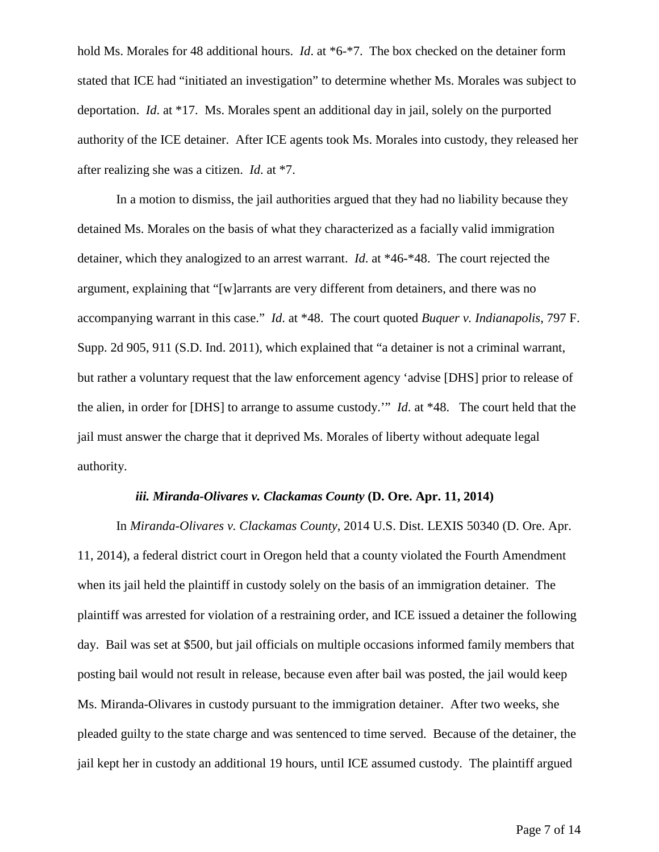hold Ms. Morales for 48 additional hours. *Id*. at \*6-\*7. The box checked on the detainer form stated that ICE had "initiated an investigation" to determine whether Ms. Morales was subject to deportation. *Id*. at \*17. Ms. Morales spent an additional day in jail, solely on the purported authority of the ICE detainer. After ICE agents took Ms. Morales into custody, they released her after realizing she was a citizen. *Id*. at \*7.

In a motion to dismiss, the jail authorities argued that they had no liability because they detained Ms. Morales on the basis of what they characterized as a facially valid immigration detainer, which they analogized to an arrest warrant. *Id*. at \*46-\*48. The court rejected the argument, explaining that "[w]arrants are very different from detainers, and there was no accompanying warrant in this case." *Id*. at \*48. The court quoted *Buquer v. Indianapolis*, 797 F. Supp. 2d 905, 911 (S.D. Ind. 2011), which explained that "a detainer is not a criminal warrant, but rather a voluntary request that the law enforcement agency 'advise [DHS] prior to release of the alien, in order for [DHS] to arrange to assume custody.'" *Id*. at \*48. The court held that the jail must answer the charge that it deprived Ms. Morales of liberty without adequate legal authority.

#### *iii. Miranda-Olivares v. Clackamas County* **(D. Ore. Apr. 11, 2014)**

In *Miranda-Olivares v. Clackamas County*, 2014 U.S. Dist. LEXIS 50340 (D. Ore. Apr. 11, 2014), a federal district court in Oregon held that a county violated the Fourth Amendment when its jail held the plaintiff in custody solely on the basis of an immigration detainer. The plaintiff was arrested for violation of a restraining order, and ICE issued a detainer the following day. Bail was set at \$500, but jail officials on multiple occasions informed family members that posting bail would not result in release, because even after bail was posted, the jail would keep Ms. Miranda-Olivares in custody pursuant to the immigration detainer. After two weeks, she pleaded guilty to the state charge and was sentenced to time served. Because of the detainer, the jail kept her in custody an additional 19 hours, until ICE assumed custody. The plaintiff argued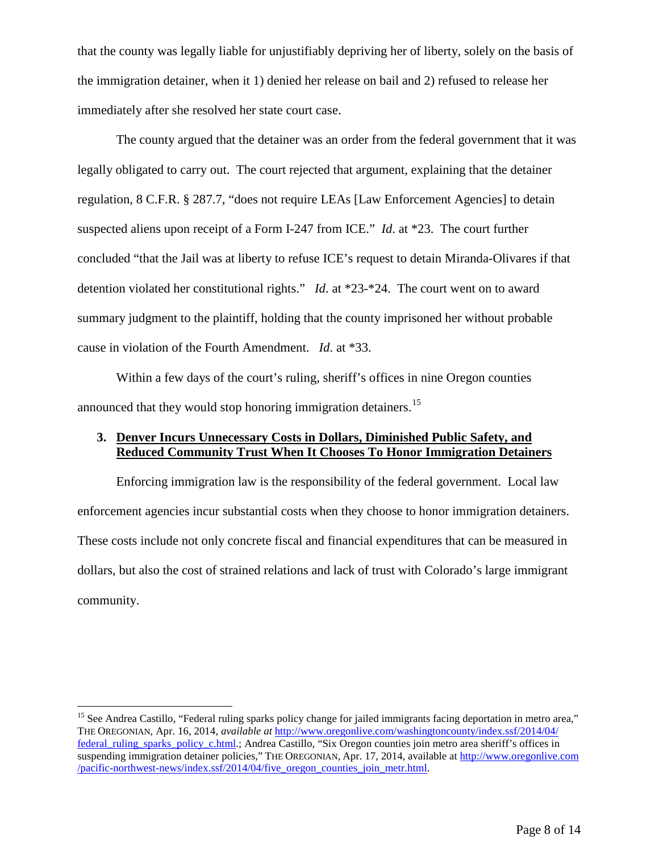that the county was legally liable for unjustifiably depriving her of liberty, solely on the basis of the immigration detainer, when it 1) denied her release on bail and 2) refused to release her immediately after she resolved her state court case.

The county argued that the detainer was an order from the federal government that it was legally obligated to carry out. The court rejected that argument, explaining that the detainer regulation, 8 C.F.R. § 287.7, "does not require LEAs [Law Enforcement Agencies] to detain suspected aliens upon receipt of a Form I-247 from ICE." *Id*. at \*23. The court further concluded "that the Jail was at liberty to refuse ICE's request to detain Miranda-Olivares if that detention violated her constitutional rights." *Id*. at \*23-\*24. The court went on to award summary judgment to the plaintiff, holding that the county imprisoned her without probable cause in violation of the Fourth Amendment. *Id*. at \*33.

Within a few days of the court's ruling, sheriff's offices in nine Oregon counties announced that they would stop honoring immigration detainers.<sup>[15](#page-7-0)</sup>

# **3. Denver Incurs Unnecessary Costs in Dollars, Diminished Public Safety, and Reduced Community Trust When It Chooses To Honor Immigration Detainers**

Enforcing immigration law is the responsibility of the federal government. Local law enforcement agencies incur substantial costs when they choose to honor immigration detainers. These costs include not only concrete fiscal and financial expenditures that can be measured in dollars, but also the cost of strained relations and lack of trust with Colorado's large immigrant community.

<span id="page-7-0"></span><sup>&</sup>lt;sup>15</sup> See Andrea Castillo, "Federal ruling sparks policy change for jailed immigrants facing deportation in metro area," THE OREGONIAN, Apr. 16, 2014, *available at* [http://www.oregonlive.com/washingtoncounty/index.ssf/2014/04/](http://www.oregonlive.com/washingtoncounty/index.ssf/2014/04/federal_ruling_sparks_policy_c.html) [federal\\_ruling\\_sparks\\_policy\\_c.html.;](http://www.oregonlive.com/washingtoncounty/index.ssf/2014/04/federal_ruling_sparks_policy_c.html) Andrea Castillo, "Six Oregon counties join metro area sheriff's offices in suspending immigration detainer policies," THE OREGONIAN, Apr. 17, 2014, available at [http://www.oregonlive.com](http://www.oregonlive.com/pacific-northwest-news/index.ssf/2014/04/five_oregon_counties_join_metr.html) [/pacific-northwest-news/index.ssf/2014/04/five\\_oregon\\_counties\\_join\\_metr.html.](http://www.oregonlive.com/pacific-northwest-news/index.ssf/2014/04/five_oregon_counties_join_metr.html)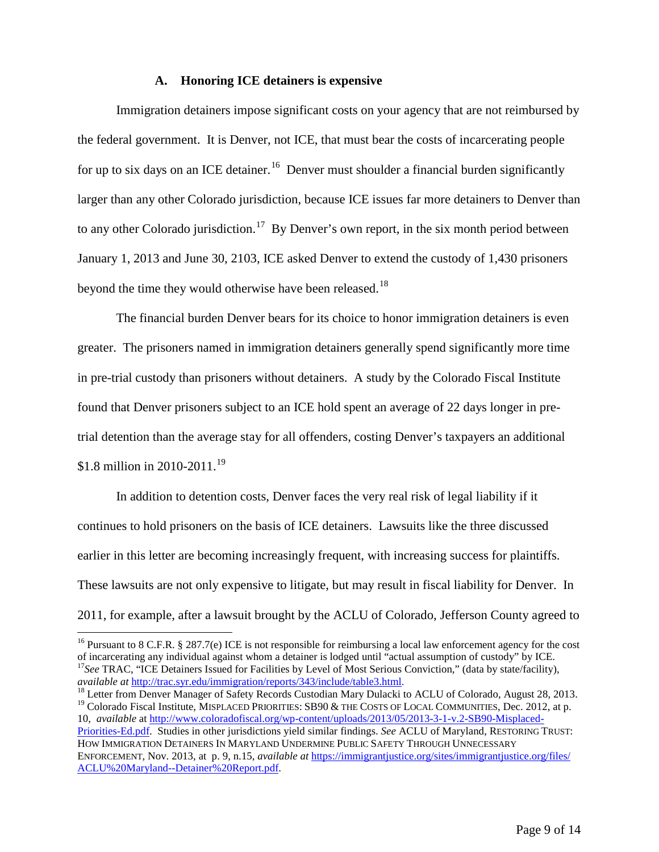#### **A. Honoring ICE detainers is expensive**

Immigration detainers impose significant costs on your agency that are not reimbursed by the federal government. It is Denver, not ICE, that must bear the costs of incarcerating people for up to six days on an ICE detainer.<sup>[16](#page-8-0)</sup> Denver must shoulder a financial burden significantly larger than any other Colorado jurisdiction, because ICE issues far more detainers to Denver than to any other Colorado jurisdiction.<sup>[17](#page-8-1)</sup> By Denver's own report, in the six month period between January 1, 2013 and June 30, 2103, ICE asked Denver to extend the custody of 1,430 prisoners beyond the time they would otherwise have been released.<sup>[18](#page-8-2)</sup>

The financial burden Denver bears for its choice to honor immigration detainers is even greater. The prisoners named in immigration detainers generally spend significantly more time in pre-trial custody than prisoners without detainers. A study by the Colorado Fiscal Institute found that Denver prisoners subject to an ICE hold spent an average of 22 days longer in pretrial detention than the average stay for all offenders, costing Denver's taxpayers an additional \$1.8 million in 2010-2011.<sup>19</sup>

In addition to detention costs, Denver faces the very real risk of legal liability if it continues to hold prisoners on the basis of ICE detainers. Lawsuits like the three discussed earlier in this letter are becoming increasingly frequent, with increasing success for plaintiffs. These lawsuits are not only expensive to litigate, but may result in fiscal liability for Denver. In 2011, for example, after a lawsuit brought by the ACLU of Colorado, Jefferson County agreed to

<span id="page-8-0"></span><sup>16</sup> Pursuant to 8 C.F.R. § 287.7(e) ICE is not responsible for reimbursing a local law enforcement agency for the cost of incarcerating any individual against whom a detainer is lodged until "actual assumption of custody <sup>17</sup>See TRAC, "ICE Detainers Issued for Facilities by Level of Most Serious Conviction," (data by state/facility), *available at http://trac.syr.edu/immigration/reports/343/include/table3.html.* 

10, *available* at [http://www.coloradofiscal.org/wp-content/uploads/2013/05/2013-3-1-v.2-SB90-Misplaced-](http://www.coloradofiscal.org/wp-content/uploads/2013/05/2013-3-1-v.2-SB90-Misplaced-Priorities-Ed.pdf)

[Priorities-Ed.pdf.](http://www.coloradofiscal.org/wp-content/uploads/2013/05/2013-3-1-v.2-SB90-Misplaced-Priorities-Ed.pdf) Studies in other jurisdictions yield similar findings. *See* ACLU of Maryland, RESTORING TRUST: HOW IMMIGRATION DETAINERS IN MARYLAND UNDERMINE PUBLIC SAFETY THROUGH UNNECESSARY ENFORCEMENT, Nov. 2013, at p. 9, n.15, *available at* [https://immigrantjustice.org/sites/immigrantjustice.org/files/](https://immigrantjustice.org/sites/immigrantjustice.org/files/ACLU%20Maryland--Detainer%20Report.pdf) [ACLU%20Maryland--Detainer%20Report.pdf.](https://immigrantjustice.org/sites/immigrantjustice.org/files/ACLU%20Maryland--Detainer%20Report.pdf)

<span id="page-8-3"></span><span id="page-8-2"></span><span id="page-8-1"></span><sup>&</sup>lt;sup>18</sup> Letter from Denver Manager of Safety Records Custodian Mary Dulacki to ACLU of Colorado, August 28, 2013.<br><sup>19</sup> Colorado Fiscal Institute, MISPLACED PRIORITIES: SB90 & THE COSTS OF LOCAL COMMUNITIES, Dec. 2012, at p.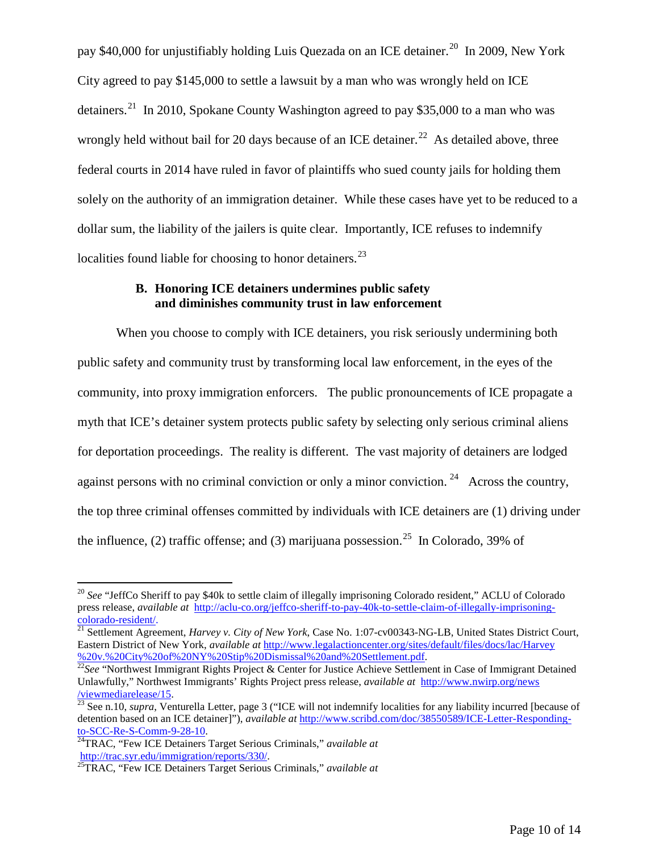pay \$40,000 for uniustifiably holding Luis Quezada on an ICE detainer.<sup>20</sup> In 2009, New York City agreed to pay \$145,000 to settle a lawsuit by a man who was wrongly held on ICE detainers.<sup>[21](#page-9-1)</sup> In 2010, Spokane County Washington agreed to pay \$35,000 to a man who was wrongly held without bail for 20 days because of an ICE detainer.<sup>[22](#page-9-2)</sup> As detailed above, three federal courts in 2014 have ruled in favor of plaintiffs who sued county jails for holding them solely on the authority of an immigration detainer. While these cases have yet to be reduced to a dollar sum, the liability of the jailers is quite clear. Importantly, ICE refuses to indemnify localities found liable for choosing to honor detainers.<sup>[23](#page-9-3)</sup>

### **B. Honoring ICE detainers undermines public safety and diminishes community trust in law enforcement**

When you choose to comply with ICE detainers, you risk seriously undermining both public safety and community trust by transforming local law enforcement, in the eyes of the community, into proxy immigration enforcers. The public pronouncements of ICE propagate a myth that ICE's detainer system protects public safety by selecting only serious criminal aliens for deportation proceedings. The reality is different. The vast majority of detainers are lodged against persons with no criminal conviction or only a minor conviction.<sup>[24](#page-9-4)</sup> Across the country, the top three criminal offenses committed by individuals with ICE detainers are (1) driving under the influence, (2) traffic offense; and (3) marijuana possession.<sup>25</sup> In Colorado, 39% of

<span id="page-9-0"></span><sup>&</sup>lt;sup>20</sup> See "JeffCo Sheriff to pay \$40k to settle claim of illegally imprisoning Colorado resident," ACLU of Colorado press release, *available at* [http://aclu-co.org/jeffco-sheriff-to-pay-40k-to-settle-claim-of-illegally-imprisoning](http://aclu-co.org/jeffco-sheriff-to-pay-40k-to-settle-claim-of-illegally-imprisoning-colorado-resident/)[colorado-resident/.](http://aclu-co.org/jeffco-sheriff-to-pay-40k-to-settle-claim-of-illegally-imprisoning-colorado-resident/) <sup>21</sup> Settlement Agreement, *Harvey v. City of New York*, Case No. 1:07-cv00343-NG-LB, United States District Court,

<span id="page-9-1"></span>Eastern District of New York, *available at* [http://www.legalactioncenter.org/sites/default/files/docs/lac/Harvey](http://www.legalactioncenter.org/sites/default/files/docs/lac/Harvey%20v.%20City%20of%20NY%20Stip%20Dismissal%20and%20Settlement.pdf)

<span id="page-9-2"></span><sup>&</sup>lt;sup>22</sup>See "Northwest Immigrant Rights Project & Center for Justice Achieve Settlement in Case of Immigrant Detained Unlawfully," Northwest Immigrants' Rights Project press release, *available at* [http://www.nwirp.org/news](http://www.nwirp.org/news/viewmediarelease/15) [/viewmediarelease/15.](http://www.nwirp.org/news/viewmediarelease/15) <sup>23</sup> See n.10, *supra*, Venturella Letter, page 3 ("ICE will not indemnify localities for any liability incurred [because of

<span id="page-9-3"></span>detention based on an ICE detainer]"), *available at* [http://www.scribd.com/doc/38550589/ICE-Letter-Responding-](http://www.scribd.com/doc/38550589/ICE-Letter-Responding-to-SCC-Re-S-Comm-9-28-10)

<span id="page-9-4"></span>[to-SCC-Re-S-Comm-9-28-10.](http://www.scribd.com/doc/38550589/ICE-Letter-Responding-to-SCC-Re-S-Comm-9-28-10)<br><sup>24</sup>TRAC, "Few ICE Detainers Target Serious Criminals," *available at*<br>http://trac.syr.edu/immigration/reports/330/.

<span id="page-9-5"></span><sup>&</sup>lt;sup>25</sup>TRAC, "Few ICE Detainers Target Serious Criminals," *available at*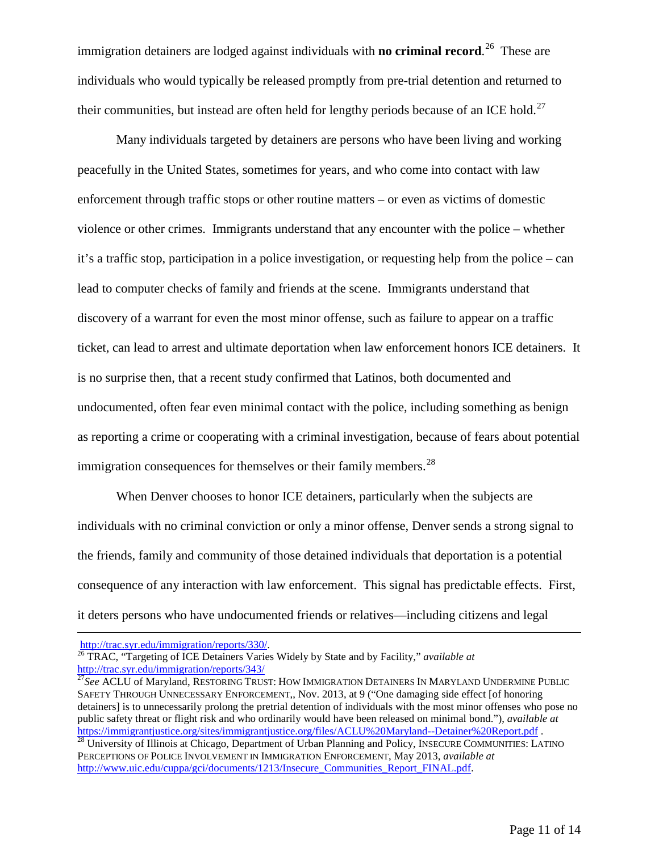immigration detainers are lodged against individuals with **no criminal record**. [26](#page-10-0) These are individuals who would typically be released promptly from pre-trial detention and returned to their communities, but instead are often held for lengthy periods because of an ICE hold.<sup>[27](#page-10-1)</sup>

Many individuals targeted by detainers are persons who have been living and working peacefully in the United States, sometimes for years, and who come into contact with law enforcement through traffic stops or other routine matters – or even as victims of domestic violence or other crimes. Immigrants understand that any encounter with the police – whether it's a traffic stop, participation in a police investigation, or requesting help from the police – can lead to computer checks of family and friends at the scene. Immigrants understand that discovery of a warrant for even the most minor offense, such as failure to appear on a traffic ticket, can lead to arrest and ultimate deportation when law enforcement honors ICE detainers. It is no surprise then, that a recent study confirmed that Latinos, both documented and undocumented, often fear even minimal contact with the police, including something as benign as reporting a crime or cooperating with a criminal investigation, because of fears about potential immigration consequences for themselves or their family members.<sup>28</sup>

When Denver chooses to honor ICE detainers, particularly when the subjects are individuals with no criminal conviction or only a minor offense, Denver sends a strong signal to the friends, family and community of those detained individuals that deportation is a potential consequence of any interaction with law enforcement. This signal has predictable effects. First, it deters persons who have undocumented friends or relatives—including citizens and legal

 $\overline{a}$ 

<span id="page-10-0"></span>[http://trac.syr.edu/immigration/reports/330/. 26](http://trac.syr.edu/immigration/reports/330/) TRAC, "Targeting of ICE Detainers Varies Widely by State and by Facility," *available at*

<span id="page-10-1"></span><sup>&</sup>lt;sup>27</sup>See ACLU of Maryland, RESTORING TRUST: HOW IMMIGRATION DETAINERS IN MARYLAND UNDERMINE PUBLIC SAFETY THROUGH UNNECESSARY ENFORCEMENT,, Nov. 2013, at 9 ("One damaging side effect [of honoring detainers] is to unnecessarily prolong the pretrial detention of individuals with the most minor offenses who pose no public safety threat or flight risk and who ordinarily would have been released on minimal bond."), *available at*  <https://immigrantjustice.org/sites/immigrantjustice.org/files/ACLU%20Maryland--Detainer%20Report.pdf> .<br><sup>28</sup> University of Illinois at Chicago, Department of Urban Planning and Policy, INSECURE COMMUNITIES: LATINO

<span id="page-10-2"></span>PERCEPTIONS OF POLICE INVOLVEMENT IN IMMIGRATION ENFORCEMENT, May 2013, *available at*  [http://www.uic.edu/cuppa/gci/documents/1213/Insecure\\_Communities\\_Report\\_FINAL.pdf.](http://www.uic.edu/cuppa/gci/documents/1213/Insecure_Communities_Report_FINAL.pdf)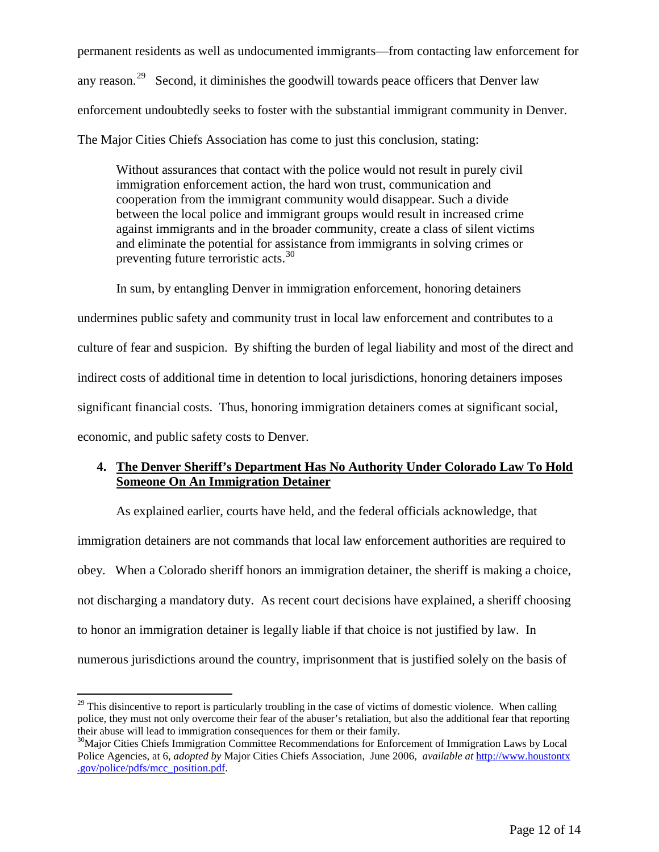permanent residents as well as undocumented immigrants—from contacting law enforcement for any reason.<sup>[29](#page-11-0)</sup> Second, it diminishes the goodwill towards peace officers that Denver law enforcement undoubtedly seeks to foster with the substantial immigrant community in Denver. The Major Cities Chiefs Association has come to just this conclusion, stating:

Without assurances that contact with the police would not result in purely civil immigration enforcement action, the hard won trust, communication and cooperation from the immigrant community would disappear. Such a divide between the local police and immigrant groups would result in increased crime against immigrants and in the broader community, create a class of silent victims and eliminate the potential for assistance from immigrants in solving crimes or preventing future terroristic acts.<sup>[30](#page-11-1)</sup>

In sum, by entangling Denver in immigration enforcement, honoring detainers undermines public safety and community trust in local law enforcement and contributes to a culture of fear and suspicion. By shifting the burden of legal liability and most of the direct and indirect costs of additional time in detention to local jurisdictions, honoring detainers imposes significant financial costs. Thus, honoring immigration detainers comes at significant social, economic, and public safety costs to Denver.

# **4. The Denver Sheriff's Department Has No Authority Under Colorado Law To Hold Someone On An Immigration Detainer**

As explained earlier, courts have held, and the federal officials acknowledge, that immigration detainers are not commands that local law enforcement authorities are required to obey. When a Colorado sheriff honors an immigration detainer, the sheriff is making a choice, not discharging a mandatory duty. As recent court decisions have explained, a sheriff choosing to honor an immigration detainer is legally liable if that choice is not justified by law. In numerous jurisdictions around the country, imprisonment that is justified solely on the basis of

<span id="page-11-0"></span> $^{29}$  This disincentive to report is particularly troubling in the case of victims of domestic violence. When calling police, they must not only overcome their fear of the abuser's retaliation, but also the additional fear that reporting their abuse will lead to immigration consequences for them or their family.<br><sup>30</sup>Major Cities Chiefs Immigration Committee Recommendations for Enforcement of Immigration Laws by Local

<span id="page-11-1"></span>Police Agencies, at 6, *adopted by* Major Cities Chiefs Association, June 2006, *available at* [http://www.houstontx](http://www.houstontx.gov/police/pdfs/mcc_position.pdf) [.gov/police/pdfs/mcc\\_position.pdf.](http://www.houstontx.gov/police/pdfs/mcc_position.pdf)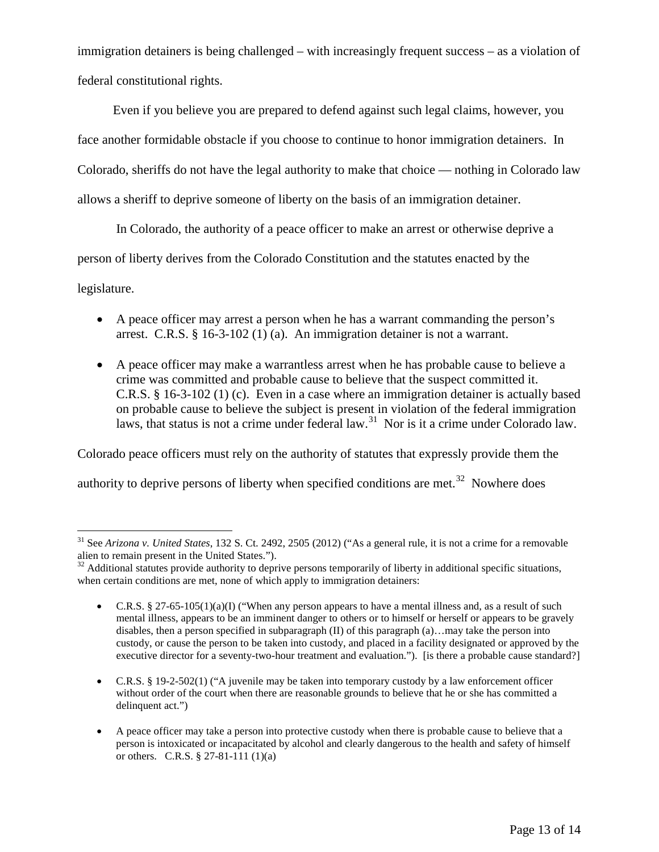immigration detainers is being challenged – with increasingly frequent success – as a violation of federal constitutional rights.

 Even if you believe you are prepared to defend against such legal claims, however, you face another formidable obstacle if you choose to continue to honor immigration detainers. In Colorado, sheriffs do not have the legal authority to make that choice — nothing in Colorado law allows a sheriff to deprive someone of liberty on the basis of an immigration detainer.

 In Colorado, the authority of a peace officer to make an arrest or otherwise deprive a person of liberty derives from the Colorado Constitution and the statutes enacted by the legislature.

- A peace officer may arrest a person when he has a warrant commanding the person's arrest. C.R.S. § 16-3-102 (1) (a). An immigration detainer is not a warrant.
- A peace officer may make a warrantless arrest when he has probable cause to believe a crime was committed and probable cause to believe that the suspect committed it. C.R.S. § 16-3-102 (1) (c). Even in a case where an immigration detainer is actually based on probable cause to believe the subject is present in violation of the federal immigration laws, that status is not a crime under federal law.<sup>31</sup> Nor is it a crime under Colorado law.

Colorado peace officers must rely on the authority of statutes that expressly provide them the authority to deprive persons of liberty when specified conditions are met.<sup>[32](#page-12-1)</sup> Nowhere does

<span id="page-12-0"></span><sup>&</sup>lt;sup>31</sup> See *Arizona v. United States*, 132 S. Ct. 2492, 2505 (2012) ("As a general rule, it is not a crime for a removable alien to remain present in the United States.").

<span id="page-12-1"></span> $32$  Additional statutes provide authority to deprive persons temporarily of liberty in additional specific situations, when certain conditions are met, none of which apply to immigration detainers:

<sup>•</sup> C.R.S. § 27-65-105(1)(a)(I) ("When any person appears to have a mental illness and, as a result of such mental illness, appears to be an imminent danger to others or to himself or herself or appears to be gravely disables, then a person specified in subparagraph (II) of this paragraph (a)…may take the person into custody, or cause the person to be taken into custody, and placed in a facility designated or approved by the executive director for a seventy-two-hour treatment and evaluation."). [is there a probable cause standard?]

<sup>•</sup> C.R.S. § 19-2-502(1) ("A juvenile may be taken into temporary custody by a law enforcement officer without order of the court when there are reasonable grounds to believe that he or she has committed a delinquent act.")

<sup>•</sup> A peace officer may take a person into protective custody when there is probable cause to believe that a person is intoxicated or incapacitated by alcohol and clearly dangerous to the health and safety of himself or others. C.R.S.  $\S 27-81-111 (1)(a)$